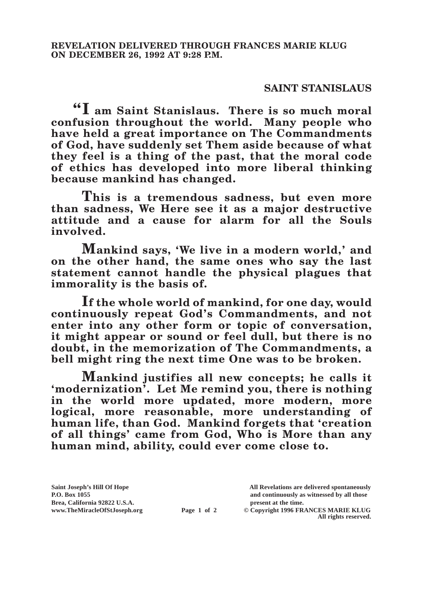## **SAINT STANISLAUS**

**"I am Saint Stanislaus. There is so much moral confusion throughout the world. Many people who have held a great importance on The Commandments of God, have suddenly set Them aside because of what they feel is a thing of the past, that the moral code of ethics has developed into more liberal thinking because mankind has changed.**

**This is a tremendous sadness, but even more than sadness, We Here see it as a major destructive attitude and a cause for alarm for all the Souls involved.**

**Mankind says, 'We live in a modern world,' and on the other hand, the same ones who say the last statement cannot handle the physical plagues that immorality is the basis of.**

**If the whole world of mankind, for one day, would continuously repeat God's Commandments, and not enter into any other form or topic of conversation, it might appear or sound or feel dull, but there is no doubt, in the memorization of The Commandments, a bell might ring the next time One was to be broken.**

**Mankind justifies all new concepts; he calls it 'modernization'. Let Me remind you, there is nothing in the world more updated, more modern, more logical, more reasonable, more understanding of human life, than God. Mankind forgets that 'creation of all things' came from God, Who is More than any human mind, ability, could ever come close to.**

**Brea, California 92822 U.S.A. present at the time.**<br> **present at the time.**<br> **present at the time.**<br> **present at the time.**<br> **present at the time.**<br> **present at the time.** 

**Saint Joseph's Hill Of Hope All Revelations are delivered spontaneously P.O. Box 1055 and continuously as witnessed by all those** 

**Page 1 of 2** © Copyright 1996 FRANCES MARIE KLUG **All rights reserved.**